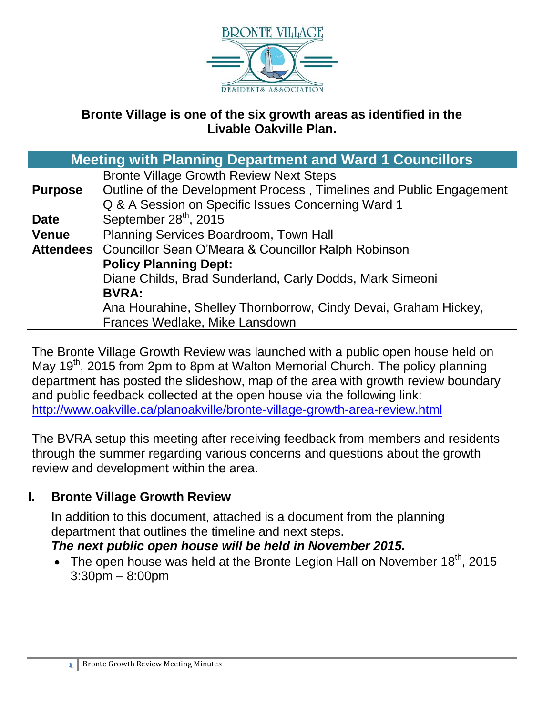

### **Bronte Village is one of the six growth areas as identified in the Livable Oakville Plan.**

| <b>Meeting with Planning Department and Ward 1 Councillors</b> |                                                                     |
|----------------------------------------------------------------|---------------------------------------------------------------------|
|                                                                | <b>Bronte Village Growth Review Next Steps</b>                      |
| <b>Purpose</b>                                                 | Outline of the Development Process, Timelines and Public Engagement |
|                                                                | Q & A Session on Specific Issues Concerning Ward 1                  |
| <b>Date</b>                                                    | September 28 <sup>th</sup> , 2015                                   |
| <b>Venue</b>                                                   | Planning Services Boardroom, Town Hall                              |
|                                                                | Attendees   Councillor Sean O'Meara & Councillor Ralph Robinson     |
|                                                                | <b>Policy Planning Dept:</b>                                        |
|                                                                | Diane Childs, Brad Sunderland, Carly Dodds, Mark Simeoni            |
|                                                                | <b>BVRA:</b>                                                        |
|                                                                | Ana Hourahine, Shelley Thornborrow, Cindy Devai, Graham Hickey,     |
|                                                                | Frances Wedlake, Mike Lansdown                                      |

The Bronte Village Growth Review was launched with a public open house held on May 19<sup>th</sup>, 2015 from 2pm to 8pm at Walton Memorial Church. The policy planning department has posted the slideshow, map of the area with growth review boundary and public feedback collected at the open house via the following link: <http://www.oakville.ca/planoakville/bronte-village-growth-area-review.html>

The BVRA setup this meeting after receiving feedback from members and residents through the summer regarding various concerns and questions about the growth review and development within the area.

#### **I. Bronte Village Growth Review**

In addition to this document, attached is a document from the planning department that outlines the timeline and next steps.

#### *The next public open house will be held in November 2015.*

• The open house was held at the Bronte Legion Hall on November  $18<sup>th</sup>$ , 2015 3:30pm – 8:00pm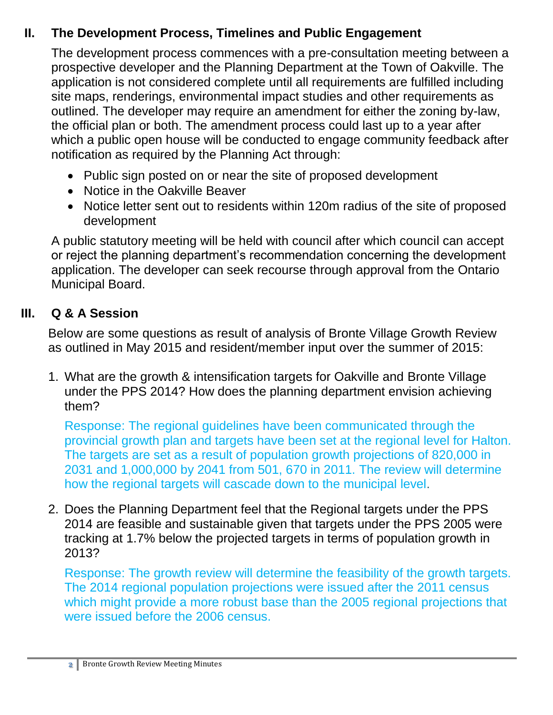# **II. The Development Process, Timelines and Public Engagement**

The development process commences with a pre-consultation meeting between a prospective developer and the Planning Department at the Town of Oakville. The application is not considered complete until all requirements are fulfilled including site maps, renderings, environmental impact studies and other requirements as outlined. The developer may require an amendment for either the zoning by-law, the official plan or both. The amendment process could last up to a year after which a public open house will be conducted to engage community feedback after notification as required by the Planning Act through:

- Public sign posted on or near the site of proposed development
- Notice in the Oakville Beaver
- Notice letter sent out to residents within 120m radius of the site of proposed development

A public statutory meeting will be held with council after which council can accept or reject the planning department's recommendation concerning the development application. The developer can seek recourse through approval from the Ontario Municipal Board.

## **III. Q & A Session**

Below are some questions as result of analysis of Bronte Village Growth Review as outlined in May 2015 and resident/member input over the summer of 2015:

1. What are the growth & intensification targets for Oakville and Bronte Village under the PPS 2014? How does the planning department envision achieving them?

Response: The regional guidelines have been communicated through the provincial growth plan and targets have been set at the regional level for Halton. The targets are set as a result of population growth projections of 820,000 in 2031 and 1,000,000 by 2041 from 501, 670 in 2011. The review will determine how the regional targets will cascade down to the municipal level.

2. Does the Planning Department feel that the Regional targets under the PPS 2014 are feasible and sustainable given that targets under the PPS 2005 were tracking at 1.7% below the projected targets in terms of population growth in 2013?

Response: The growth review will determine the feasibility of the growth targets. The 2014 regional population projections were issued after the 2011 census which might provide a more robust base than the 2005 regional projections that were issued before the 2006 census.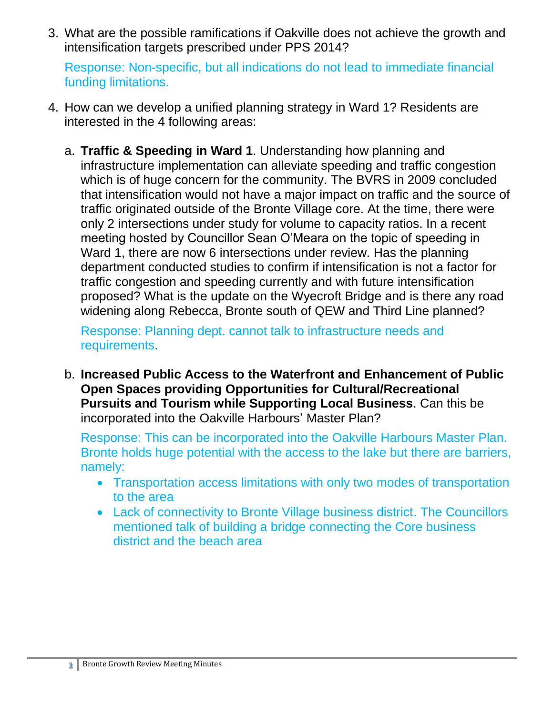3. What are the possible ramifications if Oakville does not achieve the growth and intensification targets prescribed under PPS 2014?

Response: Non-specific, but all indications do not lead to immediate financial funding limitations.

- 4. How can we develop a unified planning strategy in Ward 1? Residents are interested in the 4 following areas:
	- a. **Traffic & Speeding in Ward 1**. Understanding how planning and infrastructure implementation can alleviate speeding and traffic congestion which is of huge concern for the community. The BVRS in 2009 concluded that intensification would not have a major impact on traffic and the source of traffic originated outside of the Bronte Village core. At the time, there were only 2 intersections under study for volume to capacity ratios. In a recent meeting hosted by Councillor Sean O'Meara on the topic of speeding in Ward 1, there are now 6 intersections under review. Has the planning department conducted studies to confirm if intensification is not a factor for traffic congestion and speeding currently and with future intensification proposed? What is the update on the Wyecroft Bridge and is there any road widening along Rebecca, Bronte south of QEW and Third Line planned?

Response: Planning dept. cannot talk to infrastructure needs and requirements.

b. **Increased Public Access to the Waterfront and Enhancement of Public Open Spaces providing Opportunities for Cultural/Recreational Pursuits and Tourism while Supporting Local Business**. Can this be incorporated into the Oakville Harbours' Master Plan?

Response: This can be incorporated into the Oakville Harbours Master Plan. Bronte holds huge potential with the access to the lake but there are barriers, namely:

- Transportation access limitations with only two modes of transportation to the area
- Lack of connectivity to Bronte Village business district. The Councillors mentioned talk of building a bridge connecting the Core business district and the beach area